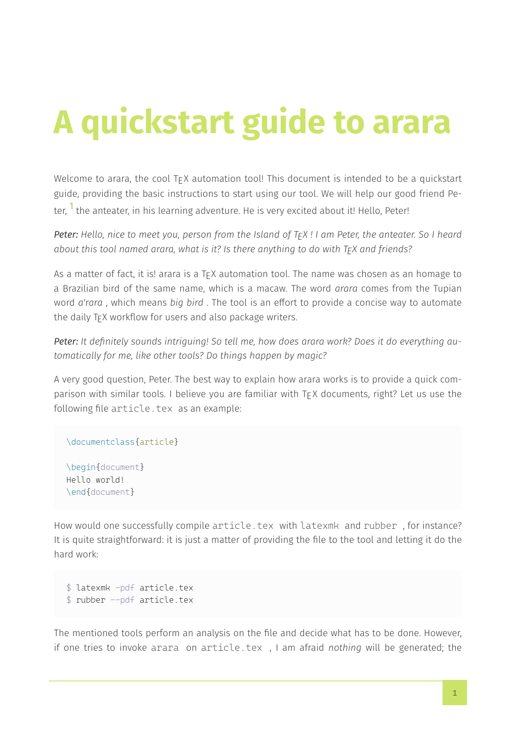# A quickstart guide to arara

Welcome to arara, the cool  $T_F X$  automation tool! This document is intended to be a quickstart guide, providing the basic instructions to start using our tool. We will help our good friend Pe‐ ter.  $1$  the anteater, in his learning adventure. He is very excited about it! Hello, Peter!

Peter: Hello, nice to meet you, person from the Island of TFX ! I am Peter, the anteater. So I heard about this tool named arara, what is it? Is there anything to do with  $T_FX$  and friends?

As a matter of fact, it is! arara is a  $TrX$  automation tool. The name was chosen as an homage to a Brazilian bird of the same name, which is a macaw. The word arara comes from the Tupian word a'rara, which means big bird. The tool is an effort to provide a concise way to automate the daily T<sub>F</sub>X workflow for users and also package writers.

Peter: It definitely sounds intriquing! So tell me, how does arara work? Does it do everything automatically for me, like other tools? Do things happen by magic?

A very good question, Peter. The best way to explain how arara works is to provide a quick com‐ parison with similar tools. I believe you are familiar with T<sub>F</sub>X documents, right? Let us use the following file article.tex as an example:

\documentclass{article}

\begin{document} Hello world! \end{document}

How would one successfully compile article.tex with latexmk and rubber , for instance? It is quite straightforward: it is just a matter of providing the file to the tool and letting it do the hard work:

```
$ latexmk -pdf article.tex
$ rubber --pdf article.tex
```
The mentioned tools perform an analysis on the file and decide what has to be done. However, if one tries to invoke arara on article.tex , I am afraid nothing will be generated; the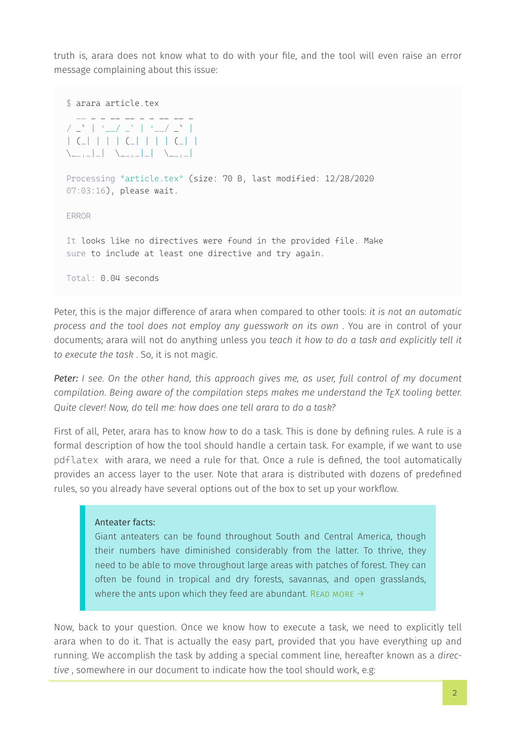truth is, arara does not know what to do with your file, and the tool will even raise an error message complaining about this issue:

```
$ arara article.tex
 __ _ _ __ __ _ _ __ __ _
/ \geq \geq \geq \geq \geq \geq \geq \geq \geq \geq \geq \geq \geq \geq \geq \geq \geq \geq \geq \geq \geq \geq \geq \geq \geq \geq \geq \geq \geq \geq \geq \geq \geq \geq \geq \geq | (_| | | | (_| | | | (_| |
\setminus __, _| _| \setminus __, _| _| \setminus __, _|
Processing "article.tex" (size: 70 B, last modified: 12/28/2020
07:03:16), please wait.
ERROR
It looks like no directives were found in the provided file. Make
sure to include at least one directive and try again.
Total: 0.04 seconds
```
Peter, this is the major difference of arara when compared to other tools: it is not an automatic process and the tool does not employ any guesswork on its own . You are in control of your documents; arara will not do anything unless you teach it how to do a task and explicitly tell it to execute the task . So, it is not magic.

Peter: I see. On the other hand, this approach gives me, as user, full control of my document compilation. Being aware of the compilation steps makes me understand the  $T_FX$  tooling better. Quite clever! Now, do tell me: how does one tell arara to do a task?

First of all, Peter, arara has to know how to do a task. This is done by defining rules. A rule is a formal description of how the tool should handle a certain task. For example, if we want to use pdflatex with arara, we need a rule for that. Once a rule is defined, the tool automatically provides an access layer to the user. Note that arara is distributed with dozens of predefined rules, so you already have several options out of the box to set up your workflow.

## Anteater facts:

Giant anteaters can be found throughout South and Central America, though their numbers have diminished considerably from the latter. To thrive, they need to be able to move throughout large areas with patches of forest. They can often be found in tropical and dry forests, savannas, and open grasslands, where the ants upon which they feed are abundant. READ MORE  $\rightarrow$ 

Now, back to your question. Once we know how to execute a task, we need to explicitly tell arara when to do it. That is actually the easy part, provided that you have everything up and running. We accomplish the task by adding a special comment line, hereafter known as a directive , somewhere in our document to indicate how the tool should work, e.g: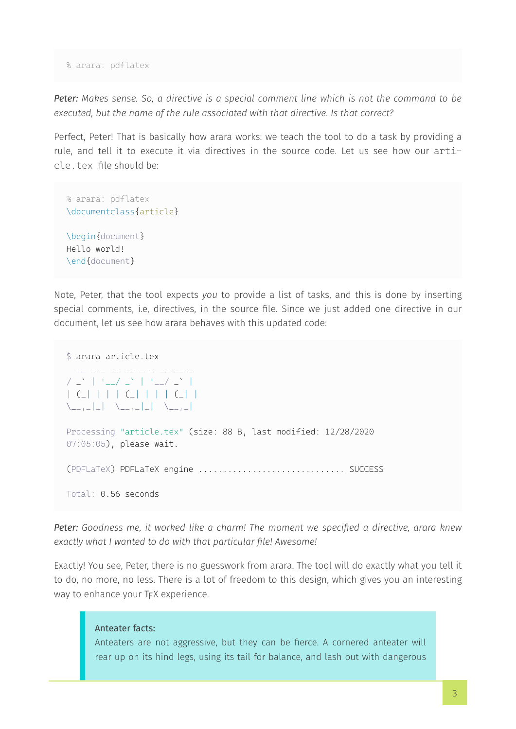% arara: pdflatex

Peter: Makes sense. So, a directive is a special comment line which is not the command to be executed, but the name of the rule associated with that directive. Is that correct?

Perfect, Peter! That is basically how arara works: we teach the tool to do a task by providing a rule, and tell it to execute it via directives in the source code. Let us see how our article.tex file should be:

```
% arara: pdflatex
\documentclass{article}
\begin{document}
Hello world!
\end{document}
```
Note, Peter, that the tool expects you to provide a list of tasks, and this is done by inserting special comments, i.e, directives, in the source file. Since we just added one directive in our document, let us see how arara behaves with this updated code:

```
$ arara article.tex
 __ _ _ __ __ _ _ __ __ _
/ \frac{1}{2} | '_/ \frac{1}{2} | '_/ \frac{1}{2} |
| (_| | | | (_| | | | (_| |
\setminus \setminus \setminus \setminus \setminus \setminus \setminus \setminus \setminus \setminus \setminus \setminus \setminus \setminus \setminus \setminus \setminus \setminus \setminus \setminus \setminus \setminus \setminus \setminus \setminus \setminus \setminus \setminus \setminus \setminus \setminus \setminus \setminus \setminus \setminus \setminus \setminusProcessing "article.tex" (size: 88 B, last modified: 12/28/2020
07:05:05), please wait.
(PDFLaTeX) PDFLaTeX engine .............................. SUCCESS
Total: 0.56 seconds
```
Peter: Goodness me, it worked like a charm! The moment we specified a directive, arara knew exactly what I wanted to do with that particular file! Awesome!

Exactly! You see, Peter, there is no guesswork from arara. The tool will do exactly what you tell it to do, no more, no less. There is a lot of freedom to this design, which gives you an interesting way to enhance your TFX experience.

# Anteater facts:

Anteaters are not aggressive, but they can be fierce. A cornered anteater will rear up on its hind legs, using its tail for balance, and lash out with dangerous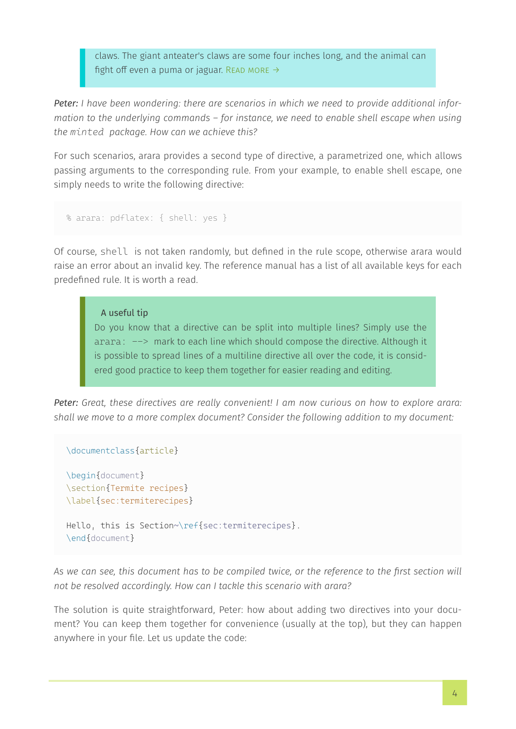claws. The giant anteater's claws are some four inches long, and the animal can fight off even a puma or jaguar. READ MORE  $\rightarrow$ 

Peter: I have been wondering: there are scenarios in which we need to provide additional information to the underlying commands – for instance, we need to enable shell escape when using the *minted* package. How can we achieve this?

For such scenarios, arara provides a second type of directive, a parametrized one, which allows passing arguments to the corresponding rule. From your example, to enable shell escape, one simply needs to write the following directive:

```
% arara: pdflatex: { shell: yes }
```
Of course, shell is not taken randomly, but defined in the rule scope, otherwise arara would raise an error about an invalid key. The reference manual has a list of all available keys for each predefined rule. It is worth a read.

 A useful tip Do you know that a directive can be split into multiple lines? Simply use the arara:  $\rightarrow$  mark to each line which should compose the directive. Although it is possible to spread lines of a multiline directive all over the code, it is consid‐ ered good practice to keep them together for easier reading and editing.

Peter: Great, these directives are really convenient! I am now curious on how to explore arara: shall we move to a more complex document? Consider the following addition to my document:

```
\documentclass{article}
```

```
\begin{document}
\section{Termite recipes}
\label{sec:termiterecipes}
Hello, this is Section~\ref{sec:termiterecipes}.
\end{document}
```
As we can see, this document has to be compiled twice, or the reference to the first section will not be resolved accordingly. How can I tackle this scenario with arara?

The solution is quite straightforward, Peter: how about adding two directives into your document? You can keep them together for convenience (usually at the top), but they can happen anywhere in your file. Let us update the code: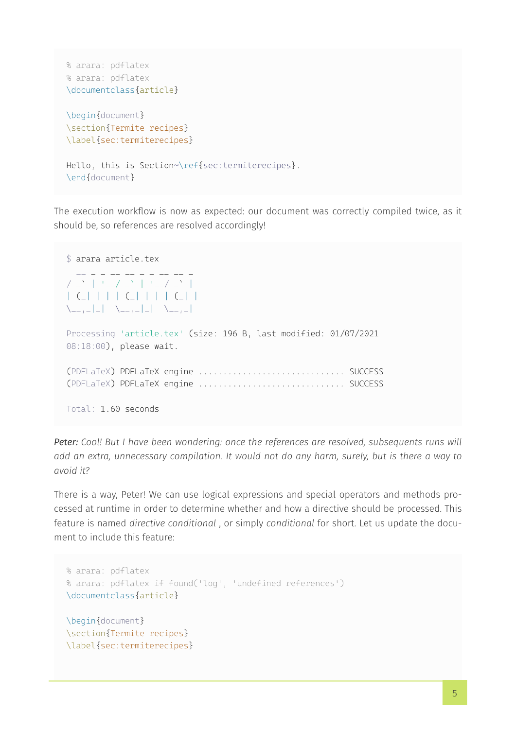```
% arara: pdflatex
% arara: pdflatex
\documentclass{article}
\begin{document}
\section{Termite recipes}
\label{sec:termiterecipes}
Hello, this is Section~\ref{sec:termiterecipes}.
\end{document}
```
The execution workflow is now as expected: our document was correctly compiled twice, as it should be, so references are resolved accordingly!

```
$ arara article.tex
 __ _ _ __ __ _ _ __ __ _
/ _` | '__/ _` | '__/ _` |
| (_| | | | (_| | | | (_| |
\setminus __, _| _| \setminus __, _| _| \setminus __, _|
Processing 'article.tex' (size: 196 B, last modified: 01/07/2021
08:18:00), please wait.
(PDFLaTeX) PDFLaTeX engine .............................. SUCCESS
(PDFLaTeX) PDFLaTeX engine .............................. SUCCESS
Total: 1.60 seconds
```
Peter: Cool! But I have been wondering: once the references are resolved, subsequents runs will add an extra, unnecessary compilation. It would not do any harm, surely, but is there a way to avoid it?

There is a way, Peter! We can use logical expressions and special operators and methods pro‐ cessed at runtime in order to determine whether and how a directive should be processed. This feature is named directive conditional, or simply conditional for short. Let us update the document to include this feature:

```
% arara: pdflatex
% arara: pdflatex if found('log', 'undefined references')
\documentclass{article}
\begin{document}
\section{Termite recipes}
\label{sec:termiterecipes}
```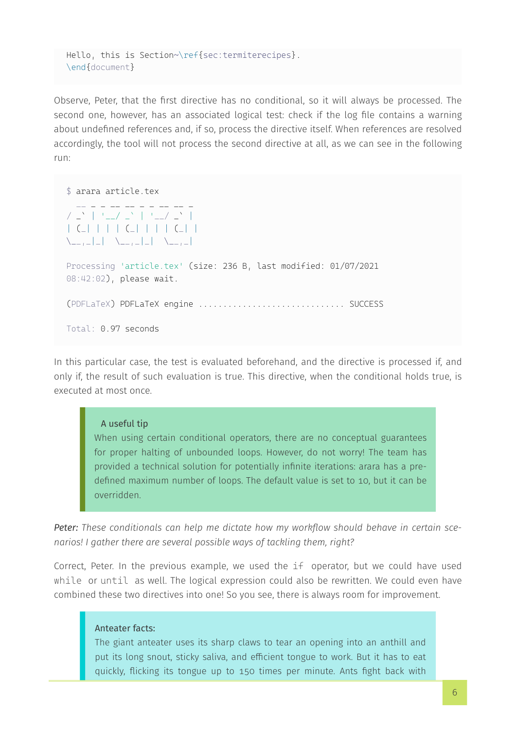```
Hello, this is Section~\ref{sec:termiterecipes}.
\end{document}
```
Observe, Peter, that the first directive has no conditional, so it will always be processed. The second one, however, has an associated logical test: check if the log file contains a warning about undefined references and, if so, process the directive itself. When references are resolved accordingly, the tool will not process the second directive at all, as we can see in the following run:

\$ arara article.tex  $\mathcal{L} = \{ \mathcal{L} \}$  $\left| \begin{array}{cc} \begin{array}{c} \searrow \\ \end{array} \end{array} \right|$   $\left| \begin{array}{c} \searrow \\ \end{array} \right|$   $\left| \begin{array}{c} \searrow \\ \end{array} \right|$   $\left| \begin{array}{c} \searrow \\ \end{array} \right|$ | (\_| | | | (\_| | | | (\_| |  $\setminus$   $\setminus$   $\setminus$   $\setminus$   $\setminus$   $\setminus$   $\setminus$   $\setminus$   $\setminus$   $\setminus$   $\setminus$   $\setminus$   $\setminus$   $\setminus$   $\setminus$   $\setminus$   $\setminus$   $\setminus$   $\setminus$   $\setminus$   $\setminus$   $\setminus$   $\setminus$   $\setminus$   $\setminus$   $\setminus$   $\setminus$   $\setminus$   $\setminus$   $\setminus$   $\setminus$   $\setminus$   $\setminus$   $\setminus$   $\setminus$   $\setminus$   $\setminus$ Processing 'article.tex' (size: 236 B, last modified: 01/07/2021 08:42:02), please wait. (PDFLaTeX) PDFLaTeX engine .............................. SUCCESS Total: 0.97 seconds

In this particular case, the test is evaluated beforehand, and the directive is processed if, and only if, the result of such evaluation is true. This directive, when the conditional holds true, is executed at most once.

#### A useful tip

When using certain conditional operators, there are no conceptual guarantees for proper halting of unbounded loops. However, do not worry! The team has provided a technical solution for potentially infinite iterations: arara has a pre‐ defined maximum number of loops. The default value is set to 10, but it can be overridden.

Peter: These conditionals can help me dictate how my workflow should behave in certain scenarios! I gather there are several possible ways of tackling them, right?

Correct, Peter. In the previous example, we used the if operator, but we could have used while or until as well. The logical expression could also be rewritten. We could even have combined these two directives into one! So you see, there is always room for improvement.

## Anteater facts:

The giant anteater uses its sharp claws to tear an opening into an anthill and put its long snout, sticky saliva, and efficient tongue to work. But it has to eat quickly, flicking its tongue up to 150 times per minute. Ants fight back with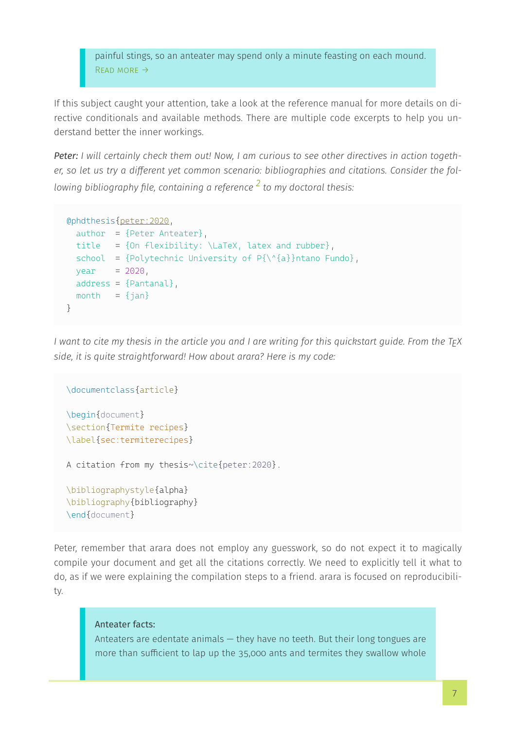painful stings, so an anteater may spend only a minute feasting on each mound. [Read more →](https://www.nationalgeographic.com/animals/mammals/g/giant-anteater/)

If this subject caught your attention, take a look at the reference manual for more details on di‐ rective conditionals and available methods. There are multiple code excerpts to help you un‐ derstand better the inner workings.

Peter: I will certainly check them out! Now, I am curious to see other directives in action together, so let us try a different yet common scenario: bibliographies and citations. Consider the fol‐ lowing bibliography file, containing a reference  $\frac{2}{3}$  to my doctoral thesis:

```
@phdthesis{peter:2020,
  author = {Peter Anteater},
 title = {On flexibility: \langle\ \ \}, latex and rubber},
 school = {Polytechnic University of P\{\{\hat{a}\}\}\ntano Fundo},
 year = 2020,address = {Paula1},
 month = \{jan\}}
```
I want to cite my thesis in the article you and I are writing for this quickstart quide. From the T<sub>F</sub>X side, it is quite straightforward! How about arara? Here is my code:

```
\documentclass{article}
\begin{document}
\section{Termite recipes}
\label{sec:termiterecipes}
A citation from my thesis~\cite{peter:2020}.
\bibliographystyle{alpha}
\bibliography{bibliography}
\end{document}
```
Peter, remember that arara does not employ any guesswork, so do not expect it to magically compile your document and get all the citations correctly. We need to explicitly tell it what to do, as if we were explaining the compilation steps to a friend. arara is focused on reproducibili‐ ty.

#### Anteater facts:

Anteaters are edentate animals — they have no teeth. But their long tongues are more than sufficient to lap up the 35,000 ants and termites they swallow whole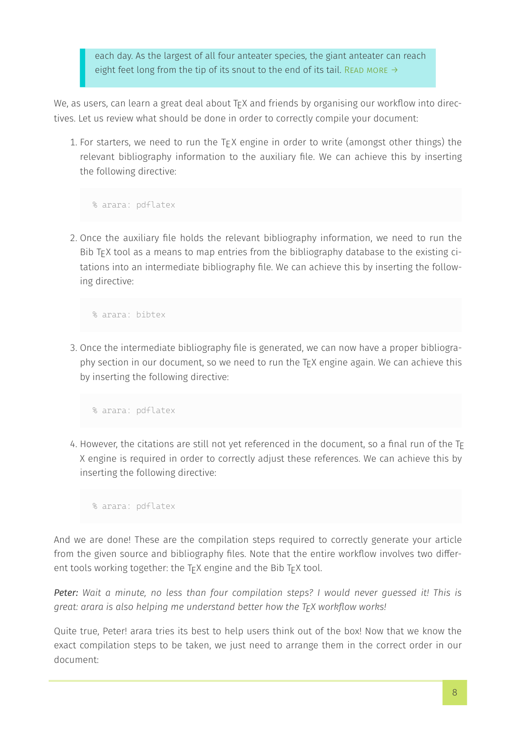each day. As the largest of all four anteater species, the giant anteater can reach eight feet long from the tip of its snout to the end of its tail. READ MORE  $\rightarrow$ 

We, as users, can learn a great deal about  $T<sub>E</sub>$  x and friends by organising our workflow into directives. Let us review what should be done in order to correctly compile your document:

1. For starters, we need to run the T<sub>E</sub>X engine in order to write (amongst other things) the relevant bibliography information to the auxiliary file. We can achieve this by inserting the following directive:

% arara: pdflatex

2. Once the auxiliary file holds the relevant bibliography information, we need to run the Bib T<sub>F</sub>X tool as a means to map entries from the bibliography database to the existing citations into an intermediate bibliography file. We can achieve this by inserting the follow‐ ing directive:

% arara: bibtex

3. Once the intermediate bibliography file is generated, we can now have a proper bibliography section in our document, so we need to run the T<sub>F</sub>X engine again. We can achieve this by inserting the following directive:

% arara: pdflatex

4. However, the citations are still not yet referenced in the document, so a final run of the T $_{\rm E}$ X engine is required in order to correctly adjust these references. We can achieve this by inserting the following directive:

% arara: pdflatex

And we are done! These are the compilation steps required to correctly generate your article from the given source and bibliography files. Note that the entire workflow involves two differ‐ ent tools working together: the  $TrX$  engine and the Bib  $TrX$  tool.

Peter: Wait a minute, no less than four compilation steps? I would never quessed it! This is great: arara is also helping me understand better how the  $T_F X$  workflow works!

Quite true, Peter! arara tries its best to help users think out of the box! Now that we know the exact compilation steps to be taken, we just need to arrange them in the correct order in our document: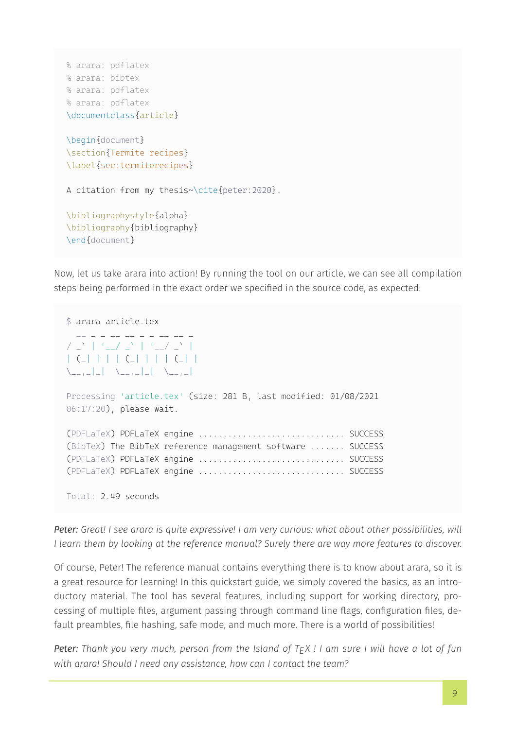```
% arara: pdflatex
% arara: bibtex
% arara: pdflatex
% arara: pdflatex
\documentclass{article}
\begin{document}
\section{Termite recipes}
\label{sec:termiterecipes}
A citation from my thesis~\cite{peter:2020}.
\bibliographystyle{alpha}
\bibliography{bibliography}
\end{document}
```
Now, let us take arara into action! By running the tool on our article, we can see all compilation steps being performed in the exact order we specified in the source code, as expected:

```
$ arara article.tex
     \bot \bot \bot \bot \bot \bot \bot \bot/ \frac{N}{N} | '_/ \frac{N}{N} | '_/ \frac{N}{N} |
| (_| | | | (_| | | | (_| |
\setminus __, _| _| \setminus __, _| _| \setminus __, _|
Processing 'article.tex' (size: 281 B, last modified: 01/08/2021
06:17:20), please wait.
(PDFLaTeX) PDFLaTeX engine .............................. SUCCESS
(BibTeX) The BibTeX reference management software ....... SUCCESS
(PDFLaTeX) PDFLaTeX engine .............................. SUCCESS
(PDFLaTeX) PDFLaTeX engine .............................. SUCCESS
Total: 2.49 seconds
```
Peter: Great! I see arara is quite expressive! I am very curious: what about other possibilities, will I learn them by looking at the reference manual? Surely there are way more features to discover.

Of course, Peter! The reference manual contains everything there is to know about arara, so it is a great resource for learning! In this quickstart guide, we simply covered the basics, as an intro‐ ductory material. The tool has several features, including support for working directory, pro‐ cessing of multiple files, argument passing through command line flags, configuration files, de‐ fault preambles, file hashing, safe mode, and much more. There is a world of possibilities!

Peter: Thank you very much, person from the Island of  $TrX$ ! I am sure I will have a lot of fun with arara! Should I need any assistance, how can I contact the team?